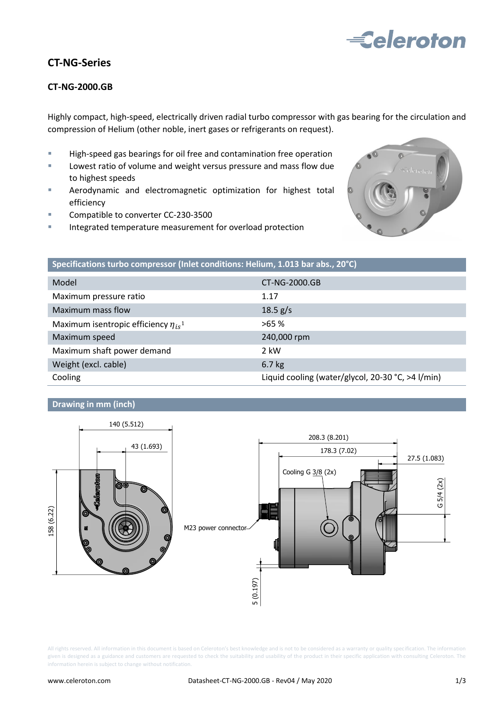

## **CT-NG-Series**

### **CT-NG-2000.GB**

Highly compact, high-speed, electrically driven radial turbo compressor with gas bearing for the circulation and compression of Helium (other noble, inert gases or refrigerants on request).

- **High-speed gas bearings for oil free and contamination free operation**
- **Lowest ratio of volume and weight versus pressure and mass flow due** to highest speeds
- **EXECT** Aerodynamic and electromagnetic optimization for highest total efficiency
- Compatible to converter CC-230-3500
- Integrated temperature measurement for overload protection



| Specifications turbo compressor (Inlet conditions: Helium, 1.013 bar abs., 20°C) |                                                   |
|----------------------------------------------------------------------------------|---------------------------------------------------|
| Model                                                                            | CT-NG-2000.GB                                     |
| Maximum pressure ratio                                                           | 1.17                                              |
| Maximum mass flow                                                                | 18.5 g/s                                          |
| Maximum isentropic efficiency $\eta_{is}$ <sup>1</sup>                           | >65%                                              |
| Maximum speed                                                                    | 240,000 rpm                                       |
| Maximum shaft power demand                                                       | 2 kW                                              |
| Weight (excl. cable)                                                             | $6.7$ kg                                          |
| Cooling                                                                          | Liquid cooling (water/glycol, 20-30 °C, >4 l/min) |

#### **Drawing in mm (inch)**



All rights reserved. All information in this document is based on Celeroton's best knowledge and is not to be considered as a warranty or quality specification. The information given is designed as a guidance and customers are requested to check the suitability and usability of the product in their specific application with consulting Celeroton. The information herein is subject to change without notification.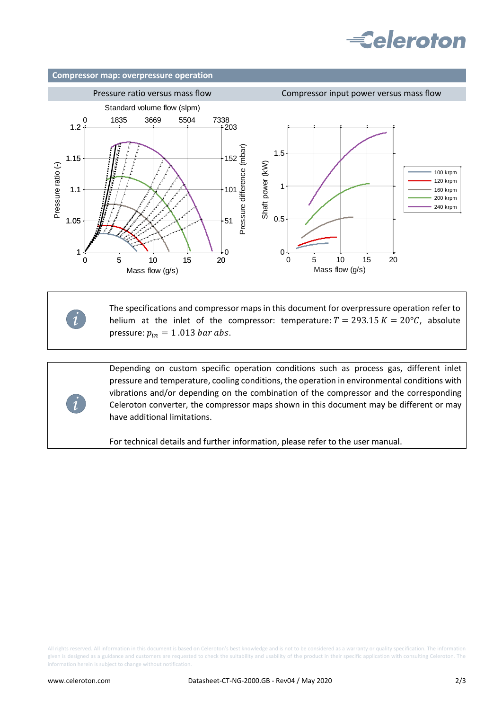# **Eeleroton**



The specifications and compressor maps in this document for overpressure operation refer to helium at the inlet of the compressor: temperature:  $T = 293.15 K = 20^{\circ}C$ , absolute pressure:  $p_{in} = 1.013$  bar abs.

Depending on custom specific operation conditions such as process gas, different inlet pressure and temperature, cooling conditions, the operation in environmental conditions with vibrations and/or depending on the combination of the compressor and the corresponding Celeroton converter, the compressor maps shown in this document may be different or may have additional limitations.

For technical details and further information, please refer to the user manual.

All rights reserved. All information in this document is based on Celeroton's best knowledge and is not to be considered as a warranty or quality specification. The information given is designed as a guidance and customers are requested to check the suitability and usability of the product in their specific application with consulting Celeroton. The information herein is subject to change without notification.

*i*

*i*